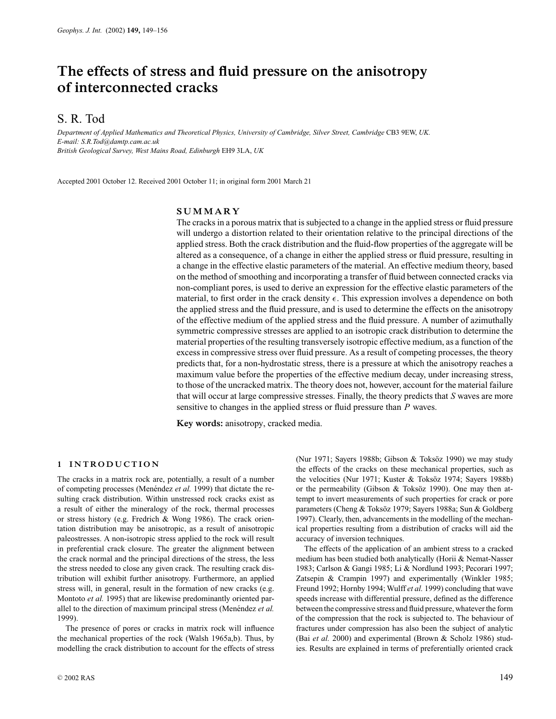# **The effects of stress and fluid pressure on the anisotropy of interconnected cracks**

# S. R. Tod

*Department of Applied Mathematics and Theoretical Physics, University of Cambridge, Silver Street, Cambridge* CB3 9EW, *UK. E-mail: S.R.Tod@damtp.cam.ac.uk British Geological Survey, West Mains Road, Edinburgh* EH9 3LA, *UK*

Accepted 2001 October 12. Received 2001 October 11; in original form 2001 March 21

# **SUMMARY**

The cracks in a porous matrix that is subjected to a change in the applied stress or fluid pressure will undergo a distortion related to their orientation relative to the principal directions of the applied stress. Both the crack distribution and the fluid-flow properties of the aggregate will be altered as a consequence, of a change in either the applied stress or fluid pressure, resulting in a change in the effective elastic parameters of the material. An effective medium theory, based on the method of smoothing and incorporating a transfer of fluid between connected cracks via non-compliant pores, is used to derive an expression for the effective elastic parameters of the material, to first order in the crack density  $\epsilon$ . This expression involves a dependence on both the applied stress and the fluid pressure, and is used to determine the effects on the anisotropy of the effective medium of the applied stress and the fluid pressure. A number of azimuthally symmetric compressive stresses are applied to an isotropic crack distribution to determine the material properties of the resulting transversely isotropic effective medium, as a function of the excess in compressive stress over fluid pressure. As a result of competing processes, the theory predicts that, for a non-hydrostatic stress, there is a pressure at which the anisotropy reaches a maximum value before the properties of the effective medium decay, under increasing stress, to those of the uncracked matrix. The theory does not, however, account for the material failure that will occur at large compressive stresses. Finally, the theory predicts that *S* waves are more sensitive to changes in the applied stress or fluid pressure than *P* waves.

**Key words:** anisotropy, cracked media.

#### **1 INTRODUCTION**

The cracks in a matrix rock are, potentially, a result of a number of competing processes (Menéndez et al. 1999) that dictate the resulting crack distribution. Within unstressed rock cracks exist as a result of either the mineralogy of the rock, thermal processes or stress history (e.g. Fredrich & Wong 1986). The crack orientation distribution may be anisotropic, as a result of anisotropic paleostresses. A non-isotropic stress applied to the rock will result in preferential crack closure. The greater the alignment between the crack normal and the principal directions of the stress, the less the stress needed to close any given crack. The resulting crack distribution will exhibit further anisotropy. Furthermore, an applied stress will, in general, result in the formation of new cracks (e.g. Montoto *et al.* 1995) that are likewise predominantly oriented parallel to the direction of maximum principal stress (Menéndez et al. 1999).

The presence of pores or cracks in matrix rock will influence the mechanical properties of the rock (Walsh 1965a,b). Thus, by modelling the crack distribution to account for the effects of stress

(Nur 1971; Sayers 1988b; Gibson & Toksöz 1990) we may study the effects of the cracks on these mechanical properties, such as the velocities (Nur 1971; Kuster & Toksöz 1974; Sayers 1988b) or the permeability (Gibson & Toksöz 1990). One may then attempt to invert measurements of such properties for crack or pore parameters (Cheng & Toksöz 1979; Sayers 1988a; Sun & Goldberg 1997). Clearly, then, advancements in the modelling of the mechanical properties resulting from a distribution of cracks will aid the accuracy of inversion techniques.

The effects of the application of an ambient stress to a cracked medium has been studied both analytically (Horii & Nemat-Nasser 1983; Carlson & Gangi 1985; Li & Nordlund 1993; Pecorari 1997; Zatsepin & Crampin 1997) and experimentally (Winkler 1985; Freund 1992; Hornby 1994; Wulff *et al.* 1999) concluding that wave speeds increase with differential pressure, defined as the difference between the compressive stress and fluid pressure, whatever the form of the compression that the rock is subjected to. The behaviour of fractures under compression has also been the subject of analytic (Bai *et al.* 2000) and experimental (Brown & Scholz 1986) studies. Results are explained in terms of preferentially oriented crack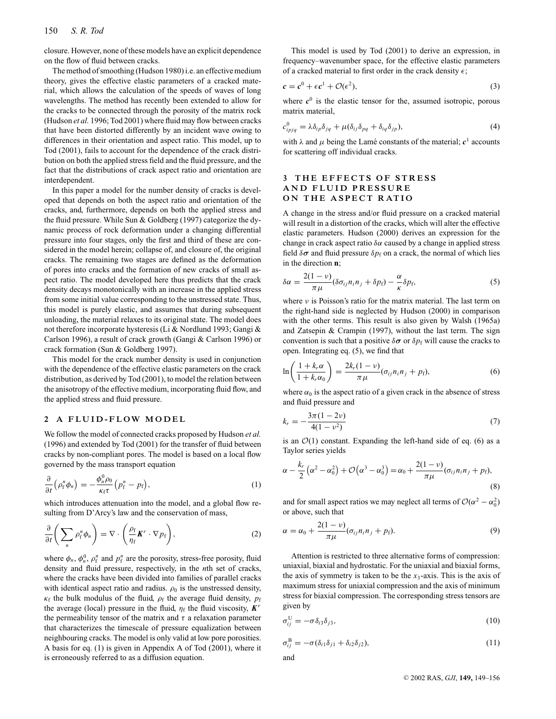closure. However, none of these models have an explicit dependence on the flow of fluid between cracks.

The method of smoothing (Hudson 1980) i.e. an effective medium theory, gives the effective elastic parameters of a cracked material, which allows the calculation of the speeds of waves of long wavelengths. The method has recently been extended to allow for the cracks to be connected through the porosity of the matrix rock (Hudson *et al.* 1996; Tod 2001) where fluid may flow between cracks that have been distorted differently by an incident wave owing to differences in their orientation and aspect ratio. This model, up to Tod (2001), fails to account for the dependence of the crack distribution on both the applied stress field and the fluid pressure, and the fact that the distributions of crack aspect ratio and orientation are interdependent.

In this paper a model for the number density of cracks is developed that depends on both the aspect ratio and orientation of the cracks, and, furthermore, depends on both the applied stress and the fluid pressure. While Sun & Goldberg (1997) categorize the dynamic process of rock deformation under a changing differential pressure into four stages, only the first and third of these are considered in the model herein; collapse of, and closure of, the original cracks. The remaining two stages are defined as the deformation of pores into cracks and the formation of new cracks of small aspect ratio. The model developed here thus predicts that the crack density decays monotonically with an increase in the applied stress from some initial value corresponding to the unstressed state. Thus, this model is purely elastic, and assumes that during subsequent unloading, the material relaxes to its original state. The model does not therefore incorporate hysteresis (Li & Nordlund 1993; Gangi & Carlson 1996), a result of crack growth (Gangi & Carlson 1996) or crack formation (Sun & Goldberg 1997).

This model for the crack number density is used in conjunction with the dependence of the effective elastic parameters on the crack distribution, as derived by Tod (2001), to model the relation between the anisotropy of the effective medium, incorporating fluid flow, and the applied stress and fluid pressure.

## **2 A FLUID-FLOW MODEL**

We follow the model of connected cracks proposed by Hudson *et al.* (1996) and extended by Tod (2001) for the transfer of fluid between cracks by non-compliant pores. The model is based on a local flow governed by the mass transport equation

$$
\frac{\partial}{\partial t} \left( \rho_f^n \phi_n \right) = -\frac{\phi_n^0 \rho_0}{\kappa_f \tau} \left( p_f^n - p_f \right),\tag{1}
$$

which introduces attenuation into the model, and a global flow resulting from D'Arcy's law and the conservation of mass,

$$
\frac{\partial}{\partial t} \bigg( \sum_{n} \rho_{f}^{n} \phi_{n} \bigg) = \nabla \cdot \bigg( \frac{\rho_{f}}{\eta_{f}} \boldsymbol{K}^{r} \cdot \nabla p_{f} \bigg), \tag{2}
$$

where  $\phi_n$ ,  $\phi_n^0$ ,  $\rho_f^n$  and  $p_f^n$  are the porosity, stress-free porosity, fluid density and fluid pressure, respectively, in the *n*th set of cracks, where the cracks have been divided into families of parallel cracks with identical aspect ratio and radius.  $\rho_0$  is the unstressed density,  $\kappa_f$  the bulk modulus of the fluid,  $\rho_f$  the average fluid density,  $p_f$ the average (local) pressure in the fluid,  $\eta_f$  the fluid viscosity,  $K^r$ the permeability tensor of the matrix and  $\tau$  a relaxation parameter that characterizes the timescale of pressure equalization between neighbouring cracks. The model is only valid at low pore porosities. A basis for eq. (1) is given in Appendix A of Tod (2001), where it is erroneously referred to as a diffusion equation.

This model is used by Tod (2001) to derive an expression, in frequency–wavenumber space, for the effective elastic parameters of a cracked material to first order in the crack density  $\epsilon$ ;

$$
c = c^0 + \epsilon c^1 + \mathcal{O}(\epsilon^2),\tag{3}
$$

where  $c^0$  is the elastic tensor for the, assumed isotropic, porous matrix material,

$$
c_{ipjq}^0 = \lambda \delta_{ip} \delta_{jq} + \mu (\delta_{ij} \delta_{pq} + \delta_{iq} \delta_{jp}), \qquad (4)
$$

with  $\lambda$  and  $\mu$  being the Lamé constants of the material;  $c^1$  accounts for scattering off individual cracks.

# **3 THE EFFECTS OF STRESS AND FLUID PRESSURE ON THE ASPECT RATIO**

A change in the stress and/or fluid pressure on a cracked material will result in a distortion of the cracks, which will alter the effective elastic parameters. Hudson (2000) derives an expression for the change in crack aspect ratio  $\delta \alpha$  caused by a change in applied stress field  $\delta\sigma$  and fluid pressure  $\delta p_f$  on a crack, the normal of which lies in the direction **n**;

$$
\delta \alpha = \frac{2(1-\nu)}{\pi \mu} (\delta \sigma_{ij} n_i n_j + \delta p_f) - \frac{\alpha}{\kappa} \delta p_f, \tag{5}
$$

where  $\nu$  is Poisson's ratio for the matrix material. The last term on the right-hand side is neglected by Hudson (2000) in comparison with the other terms. This result is also given by Walsh (1965a) and Zatsepin & Crampin (1997), without the last term. The sign convention is such that a positive  $\delta \sigma$  or  $\delta p_f$  will cause the cracks to open. Integrating eq. (5), we find that

$$
\ln\left(\frac{1+k_r\alpha}{1+k_r\alpha_0}\right) = \frac{2k_r(1-\nu)}{\pi\mu}(\sigma_{ij}n_in_j + p_f),\tag{6}
$$

where  $\alpha_0$  is the aspect ratio of a given crack in the absence of stress and fluid pressure and

$$
k_r = -\frac{3\pi(1-2\nu)}{4(1-\nu^2)}\tag{7}
$$

is an  $\mathcal{O}(1)$  constant. Expanding the left-hand side of eq. (6) as a Taylor series yields

$$
\alpha - \frac{k_r}{2} \left( \alpha^2 - \alpha_0^2 \right) + \mathcal{O} \left( \alpha^3 - \alpha_0^3 \right) = \alpha_0 + \frac{2(1 - \nu)}{\pi \mu} (\sigma_{ij} n_i n_j + p_f),\tag{8}
$$

and for small aspect ratios we may neglect all terms of  $\mathcal{O}(\alpha^2 - \alpha_0^2)$ or above, such that

$$
\alpha = \alpha_0 + \frac{2(1-\nu)}{\pi\mu} (\sigma_{ij} n_i n_j + p_f).
$$
\n(9)

Attention is restricted to three alternative forms of compression: uniaxial, biaxial and hydrostatic. For the uniaxial and biaxial forms, the axis of symmetry is taken to be the  $x_3$ -axis. This is the axis of maximum stress for uniaxial compression and the axis of minimum stress for biaxial compression. The corresponding stress tensors are given by

$$
\sigma_{ij}^{\mathbf{U}} = -\sigma \delta_{i3} \delta_{j3},\tag{10}
$$

$$
\sigma_{ij}^{\mathcal{B}} = -\sigma(\delta_{i1}\delta_{j1} + \delta_{i2}\delta_{j2}),\tag{11}
$$

and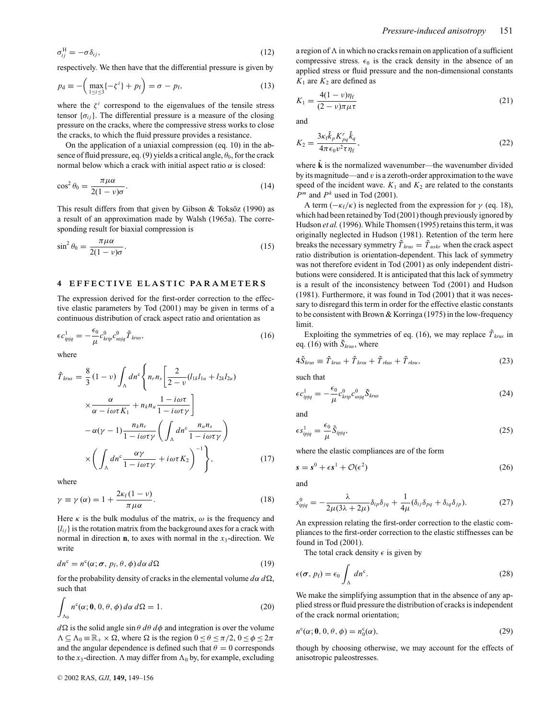$$
\sigma_{ij}^{\rm H} = -\sigma \delta_{ij},\tag{12}
$$

respectively. We then have that the differential pressure is given by

$$
p_{\mathbf{d}} \equiv -\left(\max_{1 \le i \le 3} \{-\zeta^i\} + p_{\mathbf{f}}\right) = \sigma - p_{\mathbf{f}},\tag{13}
$$

where the  $\zeta^i$  correspond to the eigenvalues of the tensile stress tensor  $\{\sigma_{ij}\}\$ . The differential pressure is a measure of the closing pressure on the cracks, where the compressive stress works to close the cracks, to which the fluid pressure provides a resistance.

On the application of a uniaxial compression (eq. 10) in the absence of fluid pressure, eq. (9) yields a critical angle,  $\theta_0$ , for the crack normal below which a crack with initial aspect ratio  $α$  is closed:

$$
\cos^2 \theta_0 = \frac{\pi \mu \alpha}{2(1 - \nu)\sigma}.
$$
 (14)

This result differs from that given by Gibson  $&$  Toksöz (1990) as a result of an approximation made by Walsh (1965a). The corresponding result for biaxial compression is

$$
\sin^2 \theta_0 = \frac{\pi \mu \alpha}{2(1 - \nu)\sigma}.
$$
\n(15)

## **4 EFFECTIVE ELASTIC PARAMETERS**

The expression derived for the first-order correction to the effective elastic parameters by Tod (2001) may be given in terms of a continuous distribution of crack aspect ratio and orientation as

$$
\epsilon c_{ipjq}^1 = -\frac{\epsilon_0}{\mu} c_{krip}^0 c_{usjq}^0 \tilde{T}_{krus},\tag{16}
$$

where

$$
\tilde{T}_{krus} = \frac{8}{3} (1 - \nu) \int_{\Lambda} dn^c \left\{ n_r n_s \left[ \frac{2}{2 - \nu} (l_{1k} l_{1u} + l_{2k} l_{2u}) \times \frac{\alpha}{\alpha - i \omega \tau K_1} + n_k n_u \frac{1 - i \omega \tau}{1 - i \omega \tau \gamma} \right] - \alpha (\gamma - 1) \frac{n_k n_r}{1 - i \omega \tau \gamma} \left( \int_{\Lambda} dn^c \frac{n_u n_s}{1 - i \omega \tau \gamma} \right) \times \left( \int_{\Lambda} dn^c \frac{\alpha \gamma}{1 - i \omega \tau \gamma} + i \omega \tau K_2 \right)^{-1} \right\},\tag{17}
$$

where

$$
\gamma \equiv \gamma(\alpha) = 1 + \frac{2\kappa_f(1-\nu)}{\pi \mu \alpha}.
$$
\n(18)

Here  $\kappa$  is the bulk modulus of the matrix,  $\omega$  is the frequency and  ${l_{ij}}$  is the rotation matrix from the background axes for a crack with normal in direction  $\mathbf{n}$ , to axes with normal in the  $x_3$ -direction. We write

$$
dn^{c} = n^{c}(\alpha; \sigma, p_{f}, \theta, \phi) d\alpha d\Omega
$$
 (19)

for the probability density of cracks in the elemental volume  $d\alpha \, d\Omega$ , such that

$$
\int_{\Lambda_0} n^c(\alpha; \mathbf{0}, 0, \theta, \phi) d\alpha d\Omega = 1.
$$
 (20)

 $d\Omega$  is the solid angle  $\sin \theta \, d\theta \, d\phi$  and integration is over the volume  $\Lambda \subseteq \Lambda_0 = \mathbb{R}_+ \times \Omega$ , where  $\Omega$  is the region  $0 \lt \theta \lt \pi/2$ ,  $0 \lt \phi \lt 2\pi$ and the angular dependence is defined such that  $\theta = 0$  corresponds to the  $x_3$ -direction. A may differ from  $\Lambda_0$  by, for example, excluding

a region of  $\Lambda$  in which no cracks remain on application of a sufficient compressive stress.  $\epsilon_0$  is the crack density in the absence of an applied stress or fluid pressure and the non-dimensional constants  $K_1$  are  $K_2$  are defined as

$$
K_1 = \frac{4(1 - \nu)\eta_f}{(2 - \nu)\pi\mu\tau}
$$
\n(21)

and

$$
K_2 = \frac{3\kappa_f \hat{k}_p K_{pq}^r \hat{k}_q}{4\pi \epsilon_0 v^2 \tau \eta_f},
$$
\n(22)

where  $\hat{\bf k}$  is the normalized wavenumber—the wavenumber divided by its magnitude—and  $v$  is a zeroth-order approximation to the wave speed of the incident wave.  $K_1$  and  $K_2$  are related to the constants *P<sup>m</sup>* and *P<sup>k</sup>* used in Tod (2001).

A term  $(-\kappa_f/\kappa)$  is neglected from the expression for  $\gamma$  (eq. 18), which had been retained by Tod (2001) though previously ignored by Hudson *et al.* (1996). While Thomsen (1995) retains this term, it was originally neglected in Hudson (1981). Retention of the term here breaks the necessary symmetry  $\tilde{T}_{krus} = \tilde{T}_{uskr}$  when the crack aspect ratio distribution is orientation-dependent. This lack of symmetry was not therefore evident in Tod (2001) as only independent distributions were considered. It is anticipated that this lack of symmetry is a result of the inconsistency between Tod (2001) and Hudson (1981). Furthermore, it was found in Tod (2001) that it was necessary to disregard this term in order for the effective elastic constants to be consistent with Brown & Korringa (1975) in the low-frequency limit.

Exploiting the symmetries of eq. (16), we may replace  $\tilde{T}_{krus}$  in eq. (16) with  $\tilde{S}_{krus}$ , where

$$
4\tilde{S}_{krus} \equiv \tilde{T}_{krus} + \tilde{T}_{krsu} + \tilde{T}_{rkus} + \tilde{T}_{rksu},\tag{23}
$$

such that

$$
\epsilon c_{ipjq}^1 = -\frac{\epsilon_0}{\mu} c_{krip}^0 c_{usjq}^0 \tilde{S}_{krus}
$$
\n(24)

and

$$
\epsilon s_{ipjq}^1 = \frac{\epsilon_0}{\mu} \tilde{S}_{ipjq},\tag{25}
$$

where the elastic compliances are of the form

$$
s = s^0 + \epsilon s^1 + \mathcal{O}(\epsilon^2)
$$
 (26)

and

$$
s_{ipjq}^0 = -\frac{\lambda}{2\mu(3\lambda + 2\mu)} \delta_{ip} \delta_{jq} + \frac{1}{4\mu} (\delta_{ij} \delta_{pq} + \delta_{iq} \delta_{jp}).
$$
 (27)

An expression relating the first-order correction to the elastic compliances to the first-order correction to the elastic stiffnesses can be found in Tod (2001).

The total crack density  $\epsilon$  is given by

$$
\epsilon(\sigma, p_{\rm f}) = \epsilon_0 \int_{\Lambda} dn^{\rm c}.
$$
 (28)

We make the simplifying assumption that in the absence of any applied stress or fluid pressure the distribution of cracks is independent of the crack normal orientation;

$$
n^c(\alpha; \mathbf{0}, 0, \theta, \phi) = n_0^c(\alpha),\tag{29}
$$

though by choosing otherwise, we may account for the effects of anisotropic paleostresses.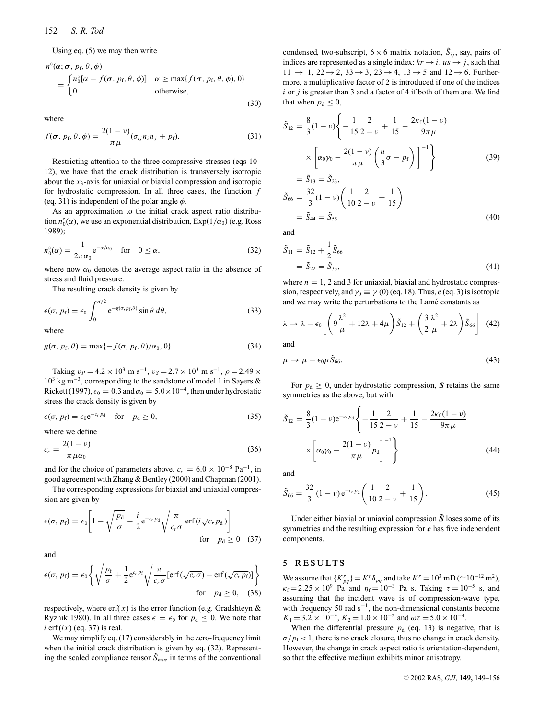Using eq. (5) we may then write

$$
n^{c}(\alpha; \sigma, p_{f}, \theta, \phi)
$$
  
= 
$$
\begin{cases} n_{0}^{c}[\alpha - f(\sigma, p_{f}, \theta, \phi)] & \alpha \ge \max\{f(\sigma, p_{f}, \theta, \phi), 0\} \\ 0 & \text{otherwise,} \end{cases}
$$
 (30)

where

$$
f(\boldsymbol{\sigma}, p_{\rm f}, \theta, \phi) = \frac{2(1-\nu)}{\pi \mu} (\sigma_{ij} n_{i} n_{j} + p_{\rm f}).
$$
\n(31)

Restricting attention to the three compressive stresses (eqs 10– 12), we have that the crack distribution is transversely isotropic about the *x*3-axis for uniaxial or biaxial compression and isotropic for hydrostatic compression. In all three cases, the function *f* (eq. 31) is independent of the polar angle  $\phi$ .

As an approximation to the initial crack aspect ratio distribution  $n_0^c(\alpha)$ , we use an exponential distribution,  $Exp(1/\alpha_0)$  (e.g. Ross 1989);

$$
n_0^c(\alpha) = \frac{1}{2\pi\alpha_0} e^{-\alpha/\alpha_0} \quad \text{for} \quad 0 \le \alpha,
$$
 (32)

where now  $\alpha_0$  denotes the average aspect ratio in the absence of stress and fluid pressure.

The resulting crack density is given by

$$
\epsilon(\sigma, p_{\rm f}) = \epsilon_0 \int_0^{\pi/2} e^{-g(\sigma, p_{\rm f}, \theta)} \sin \theta \, d\theta, \tag{33}
$$

where

$$
g(\sigma, p_{\rm f}, \theta) = \max\{-f(\sigma, p_{\rm f}, \theta)/\alpha_0, 0\}.
$$
 (34)

Taking  $v_P = 4.2 \times 10^3$  m s<sup>-1</sup>,  $v_S = 2.7 \times 10^3$  m s<sup>-1</sup>,  $\rho = 2.49 \times$  $10^3$  kg m<sup>-3</sup>, corresponding to the sandstone of model 1 in Sayers & Rickett (1997),  $\epsilon_0 = 0.3$  and  $\alpha_0 = 5.0 \times 10^{-4}$ , then under hydrostatic stress the crack density is given by

$$
\epsilon(\sigma, p_{\rm f}) = \epsilon_0 e^{-c_r p_{\rm d}} \quad \text{for} \quad p_{\rm d} \ge 0,
$$
 (35)

where we define

$$
c_r = \frac{2(1 - v)}{\pi \mu \alpha_0} \tag{36}
$$

and for the choice of parameters above,  $c_r = 6.0 \times 10^{-8}$  Pa<sup>-1</sup>, in good agreement with Zhang & Bentley (2000) and Chapman (2001).

The corresponding expressions for biaxial and uniaxial compression are given by

$$
\epsilon(\sigma, p_{\rm f}) = \epsilon_0 \left[ 1 - \sqrt{\frac{p_{\rm d}}{\sigma}} - \frac{i}{2} e^{-c_r p_{\rm d}} \sqrt{\frac{\pi}{c_r \sigma}} \operatorname{erf}(i \sqrt{c_r p_{\rm d}}) \right]
$$
  
for  $p_{\rm d} \ge 0$  (37)

and

$$
\epsilon(\sigma, p_{\rm f}) = \epsilon_0 \left\{ \sqrt{\frac{p_{\rm f}}{\sigma}} + \frac{1}{2} e^{c_r p_{\rm f}} \sqrt{\frac{\pi}{c_r \sigma}} [\text{erf}(\sqrt{c_r \sigma}) - \text{erf}(\sqrt{c_r p_{\rm f}})] \right\}
$$
  
for  $p_{\rm d} \ge 0$ , (38)

respectively, where erf $(x)$  is the error function (e.g. Gradshteyn & Ryzhik 1980). In all three cases  $\epsilon = \epsilon_0$  for  $p_d \le 0$ . We note that  $i$  erf $(ix)$  (eq. 37) is real.

We may simplify eq. (17) considerably in the zero-frequency limit when the initial crack distribution is given by eq. (32). Representing the scaled compliance tensor  $\tilde{S}_{krus}$  in terms of the conventional

condensed, two-subscript,  $6 \times 6$  matrix notation,  $\tilde{S}_{ij}$ , say, pairs of indices are represented as a single index:  $kr \rightarrow i$ ,  $us \rightarrow j$ , such that  $11 \rightarrow 1$ ,  $22 \rightarrow 2$ ,  $33 \rightarrow 3$ ,  $23 \rightarrow 4$ ,  $13 \rightarrow 5$  and  $12 \rightarrow 6$ . Furthermore, a multiplicative factor of 2 is introduced if one of the indices *i* or *j* is greater than 3 and a factor of 4 if both of them are. We find that when  $p_d \leq 0$ ,

$$
\tilde{S}_{12} = \frac{8}{3}(1 - \nu) \left\{ -\frac{1}{15} \frac{2}{2 - \nu} + \frac{1}{15} - \frac{2\kappa_f (1 - \nu)}{9\pi \mu} \right\}
$$
\n
$$
\times \left[ \alpha_0 \gamma_0 - \frac{2(1 - \nu)}{\pi \mu} \left( \frac{n}{3} \sigma - p_f \right) \right]^{-1} \right\}
$$
\n
$$
= \tilde{S}_{13} = \tilde{S}_{23},
$$
\n
$$
\tilde{S}_{66} = \frac{32}{3}(1 - \nu) \left( \frac{1}{10} \frac{2}{2 - \nu} + \frac{1}{15} \right)
$$
\n
$$
= \tilde{S}_{44} = \tilde{S}_{55}
$$
\n(40)

and

$$
\begin{aligned} \tilde{S}_{11} &= \tilde{S}_{12} + \frac{1}{2} \tilde{S}_{66} \\ &= \tilde{S}_{22} = \tilde{S}_{33}, \end{aligned} \tag{41}
$$

where  $n = 1$ , 2 and 3 for uniaxial, biaxial and hydrostatic compression, respectively, and  $\gamma_0 \equiv \gamma(0)$  (eq. 18). Thus, *c* (eq. 3) is isotropic and we may write the perturbations to the Lamé constants as

$$
\lambda \to \lambda - \epsilon_0 \left[ \left( 9 \frac{\lambda^2}{\mu} + 12\lambda + 4\mu \right) \tilde{S}_{12} + \left( \frac{3}{2} \frac{\lambda^2}{\mu} + 2\lambda \right) \tilde{S}_{66} \right] (42)
$$

and

$$
\mu \to \mu - \epsilon_0 \mu \tilde{S}_{66}.\tag{43}
$$

For  $p_d \geq 0$ , under hydrostatic compression, S retains the same symmetries as the above, but with

$$
\tilde{S}_{12} = \frac{8}{3} (1 - \nu) e^{-c_r p_d} \left\{ -\frac{1}{15} \frac{2}{2 - \nu} + \frac{1}{15} - \frac{2\kappa_f (1 - \nu)}{9\pi \mu} \right\}
$$
\n
$$
\times \left[ \alpha_0 \gamma_0 - \frac{2(1 - \nu)}{\pi \mu} p_d \right]^{-1} \right\}
$$
\n(44)

and

$$
\tilde{S}_{66} = \frac{32}{3} (1 - \nu) e^{-c_r p_d} \left( \frac{1}{10} \frac{2}{2 - \nu} + \frac{1}{15} \right).
$$
 (45)

Under either biaxial or uniaxial compression  $\tilde{S}$  loses some of its symmetries and the resulting expression for *c* has five independent components.

### **5 RESULTS**

We assume that  ${K^r_{pq}} = K^r \delta_{pq}$  and take  $K^r = 10^3$  mD ( $\approx 10^{-12}$  m<sup>2</sup>),  $\kappa_f = 2.25 \times 10^9$  Pa and  $\eta_f = 10^{-3}$  Pa s. Taking  $\tau = 10^{-5}$  s, and assuming that the incident wave is of compression-wave type, with frequency 50 rad  $s^{-1}$ , the non-dimensional constants become  $K_1 = 3.2 \times 10^{-9}$ ,  $K_2 = 1.0 \times 10^{-2}$  and  $\omega \tau = 5.0 \times 10^{-4}$ .

When the differential pressure  $p_d$  (eq. 13) is negative, that is  $\sigma/p_f$  < 1, there is no crack closure, thus no change in crack density. However, the change in crack aspect ratio is orientation-dependent, so that the effective medium exhibits minor anisotropy.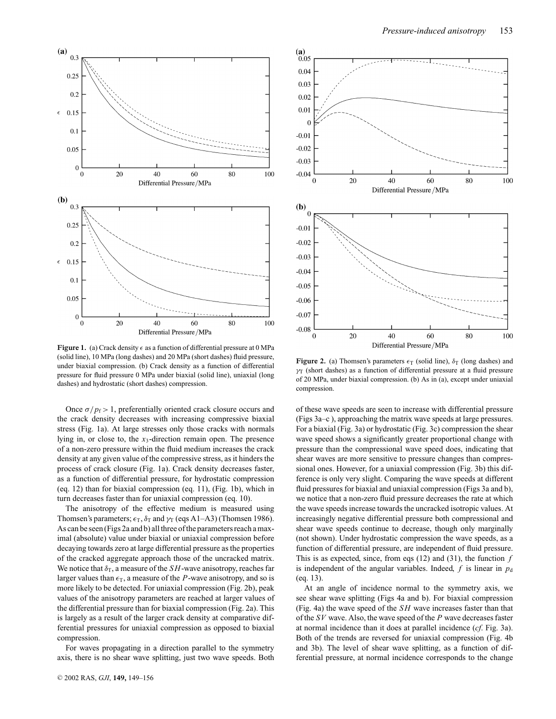

**Figure 1.** (a) Crack density  $\epsilon$  as a function of differential pressure at 0 MPa (solid line), 10 MPa (long dashes) and 20 MPa (short dashes) fluid pressure, under biaxial compression. (b) Crack density as a function of differential pressure for fluid pressure 0 MPa under biaxial (solid line), uniaxial (long dashes) and hydrostatic (short dashes) compression.

Once  $\sigma/p_f > 1$ , preferentially oriented crack closure occurs and the crack density decreases with increasing compressive biaxial stress (Fig. 1a). At large stresses only those cracks with normals lying in, or close to, the *x*3-direction remain open. The presence of a non-zero pressure within the fluid medium increases the crack density at any given value of the compressive stress, as it hinders the process of crack closure (Fig. 1a). Crack density decreases faster, as a function of differential pressure, for hydrostatic compression (eq. 12) than for biaxial compression (eq. 11), (Fig. 1b), which in turn decreases faster than for uniaxial compression (eq. 10).

The anisotropy of the effective medium is measured using Thomsen's parameters;  $\epsilon_{\text{T}}$ ,  $\delta_{\text{T}}$  and  $\gamma_{\text{T}}$  (eqs A1–A3) (Thomsen 1986). As can be seen (Figs 2a and b) all three of the parameters reach a maximal (absolute) value under biaxial or uniaxial compression before decaying towards zero at large differential pressure as the properties of the cracked aggregate approach those of the uncracked matrix. We notice that  $\delta_{\rm T}$ , a measure of the *SH*-wave anisotropy, reaches far larger values than  $\epsilon_{\text{T}}$ , a measure of the *P*-wave anisotropy, and so is more likely to be detected. For uniaxial compression (Fig. 2b), peak values of the anisotropy parameters are reached at larger values of the differential pressure than for biaxial compression (Fig. 2a). This is largely as a result of the larger crack density at comparative differential pressures for uniaxial compression as opposed to biaxial compression.

For waves propagating in a direction parallel to the symmetry axis, there is no shear wave splitting, just two wave speeds. Both



**Figure 2.** (a) Thomsen's parameters  $\epsilon_T$  (solid line),  $\delta_T$  (long dashes) and  $\gamma$ T (short dashes) as a function of differential pressure at a fluid pressure of 20 MPa, under biaxial compression. (b) As in (a), except under uniaxial compression.

of these wave speeds are seen to increase with differential pressure (Figs 3a–c ), approaching the matrix wave speeds at large pressures. For a biaxial (Fig. 3a) or hydrostatic (Fig. 3c) compression the shear wave speed shows a significantly greater proportional change with pressure than the compressional wave speed does, indicating that shear waves are more sensitive to pressure changes than compressional ones. However, for a uniaxial compression (Fig. 3b) this difference is only very slight. Comparing the wave speeds at different fluid pressures for biaxial and uniaxial compression (Figs 3a and b), we notice that a non-zero fluid pressure decreases the rate at which the wave speeds increase towards the uncracked isotropic values. At increasingly negative differential pressure both compressional and shear wave speeds continue to decrease, though only marginally (not shown). Under hydrostatic compression the wave speeds, as a function of differential pressure, are independent of fluid pressure. This is as expected, since, from eqs (12) and (31), the function *f* is independent of the angular variables. Indeed,  $f$  is linear in  $p_d$ (eq. 13).

At an angle of incidence normal to the symmetry axis, we see shear wave splitting (Figs 4a and b). For biaxial compression (Fig. 4a) the wave speed of the *SH* wave increases faster than that of the *SV* wave. Also, the wave speed of the *P* wave decreases faster at normal incidence than it does at parallel incidence (*cf*. Fig. 3a). Both of the trends are reversed for uniaxial compression (Fig. 4b and 3b). The level of shear wave splitting, as a function of differential pressure, at normal incidence corresponds to the change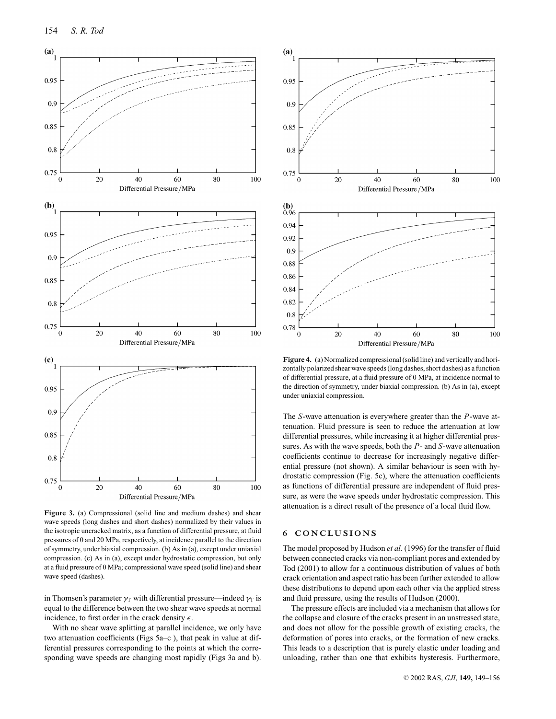

**Figure 3.** (a) Compressional (solid line and medium dashes) and shear wave speeds (long dashes and short dashes) normalized by their values in the isotropic uncracked matrix, as a function of differential pressure, at fluid pressures of 0 and 20 MPa, respectively, at incidence parallel to the direction of symmetry, under biaxial compression. (b) As in (a), except under uniaxial compression. (c) As in (a), except under hydrostatic compression, but only at a fluid pressure of 0 MPa; compressional wave speed (solid line) and shear wave speed (dashes).

in Thomsen's parameter  $\gamma_T$  with differential pressure—indeed  $\gamma_T$  is equal to the difference between the two shear wave speeds at normal incidence, to first order in the crack density  $\epsilon$ .

With no shear wave splitting at parallel incidence, we only have two attenuation coefficients (Figs 5a–c ), that peak in value at differential pressures corresponding to the points at which the corresponding wave speeds are changing most rapidly (Figs 3a and b).



**Figure 4.** (a) Normalized compressional (solid line) and vertically and horizontally polarized shear wave speeds (long dashes, short dashes) as a function of differential pressure, at a fluid pressure of 0 MPa, at incidence normal to the direction of symmetry, under biaxial compression. (b) As in (a), except under uniaxial compression.

The *S*-wave attenuation is everywhere greater than the *P*-wave attenuation. Fluid pressure is seen to reduce the attenuation at low differential pressures, while increasing it at higher differential pressures. As with the wave speeds, both the *P*- and *S*-wave attenuation coefficients continue to decrease for increasingly negative differential pressure (not shown). A similar behaviour is seen with hydrostatic compression (Fig. 5c), where the attenuation coefficients as functions of differential pressure are independent of fluid pressure, as were the wave speeds under hydrostatic compression. This attenuation is a direct result of the presence of a local fluid flow.

## **6 CONCLUSIONS**

The model proposed by Hudson *et al.* (1996) for the transfer of fluid between connected cracks via non-compliant pores and extended by Tod (2001) to allow for a continuous distribution of values of both crack orientation and aspect ratio has been further extended to allow these distributions to depend upon each other via the applied stress and fluid pressure, using the results of Hudson (2000).

The pressure effects are included via a mechanism that allows for the collapse and closure of the cracks present in an unstressed state, and does not allow for the possible growth of existing cracks, the deformation of pores into cracks, or the formation of new cracks. This leads to a description that is purely elastic under loading and unloading, rather than one that exhibits hysteresis. Furthermore,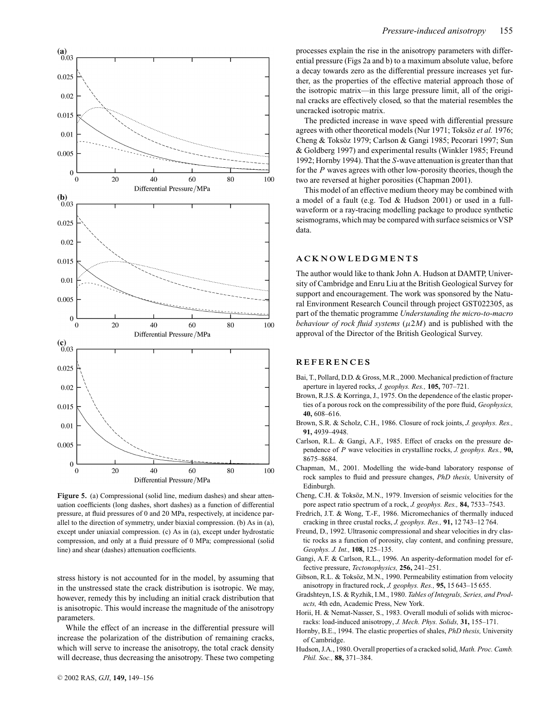

**Figure 5.** (a) Compressional (solid line, medium dashes) and shear attenuation coefficients (long dashes, short dashes) as a function of differential pressure, at fluid pressures of 0 and 20 MPa, respectively, at incidence parallel to the direction of symmetry, under biaxial compression. (b) As in (a), except under uniaxial compression. (c) As in (a), except under hydrostatic compression, and only at a fluid pressure of 0 MPa; compressional (solid line) and shear (dashes) attenuation coefficients.

stress history is not accounted for in the model, by assuming that in the unstressed state the crack distribution is isotropic. We may, however, remedy this by including an initial crack distribution that is anisotropic. This would increase the magnitude of the anisotropy parameters.

While the effect of an increase in the differential pressure will increase the polarization of the distribution of remaining cracks, which will serve to increase the anisotropy, the total crack density will decrease, thus decreasing the anisotropy. These two competing

processes explain the rise in the anisotropy parameters with differential pressure (Figs 2a and b) to a maximum absolute value, before a decay towards zero as the differential pressure increases yet further, as the properties of the effective material approach those of the isotropic matrix—in this large pressure limit, all of the original cracks are effectively closed, so that the material resembles the uncracked isotropic matrix.

The predicted increase in wave speed with differential pressure agrees with other theoretical models (Nur 1971; Toksöz et al. 1976; Cheng & Toksöz 1979; Carlson & Gangi 1985; Pecorari 1997; Sun & Goldberg 1997) and experimental results (Winkler 1985; Freund 1992; Hornby 1994). That the *S*-wave attenuation is greater than that for the *P* waves agrees with other low-porosity theories, though the two are reversed at higher porosities (Chapman 2001).

This model of an effective medium theory may be combined with a model of a fault (e.g. Tod & Hudson 2001) or used in a fullwaveform or a ray-tracing modelling package to produce synthetic seismograms, which may be compared with surface seismics or VSP data.

#### **ACKNOWLEDGMENTS**

The author would like to thank John A. Hudson at DAMTP, University of Cambridge and Enru Liu at the British Geological Survey for support and encouragement. The work was sponsored by the Natural Environment Research Council through project GST022305, as part of the thematic programme *Understanding the micro-to-macro behaviour of rock fluid systems*  $(\mu 2M)$  and is published with the approval of the Director of the British Geological Survey.

#### **REFERENCES**

- Bai, T., Pollard, D.D. & Gross, M.R., 2000. Mechanical prediction of fracture aperture in layered rocks, *J. geophys. Res.,* **105,** 707–721.
- Brown, R.J.S. & Korringa, J., 1975. On the dependence of the elastic properties of a porous rock on the compressibility of the pore fluid, *Geophysics,* **40,** 608–616.
- Brown, S.R. & Scholz, C.H., 1986. Closure of rock joints, *J. geophys. Res.,* **91,** 4939–4948.
- Carlson, R.L. & Gangi, A.F., 1985. Effect of cracks on the pressure dependence of *P* wave velocities in crystalline rocks, *J. geophys. Res.,* **90,** 8675–8684.
- Chapman, M., 2001. Modelling the wide-band laboratory response of rock samples to fluid and pressure changes, *PhD thesis,* University of Edinburgh.
- Cheng, C.H. & Toksöz, M.N., 1979. Inversion of seismic velocities for the pore aspect ratio spectrum of a rock, *J. geophys. Res.,* **84,** 7533–7543.
- Fredrich, J.T. & Wong, T.-F., 1986. Micromechanics of thermally induced cracking in three crustal rocks, *J. geophys. Res.,* **91,** 12 743–12 764.
- Freund, D., 1992. Ultrasonic compressional and shear velocities in dry clastic rocks as a function of porosity, clay content, and confining pressure, *Geophys. J. Int.,* **108,** 125–135.
- Gangi, A.F. & Carlson, R.L., 1996. An asperity-deformation model for effective pressure, *Tectonophysics,* **256,** 241–251.
- Gibson, R.L. & Toksöz, M.N., 1990. Permeability estimation from velocity anisotropy in fractured rock, *J. geophys. Res.,* **95,** 15 643–15 655.
- Gradshteyn, I.S. & Ryzhik, I.M., 1980. *Tables of Integrals, Series, and Products,* 4th edn, Academic Press, New York.
- Horii, H. & Nemat-Nasser, S., 1983. Overall moduli of solids with microcracks: load-induced anisotropy, *J. Mech. Phys. Solids,* **31,** 155–171.
- Hornby, B.E., 1994. The elastic properties of shales, *PhD thesis,* University of Cambridge.
- Hudson, J.A., 1980. Overall properties of a cracked solid, *Math. Proc. Camb. Phil. Soc.,* **88,** 371–384.